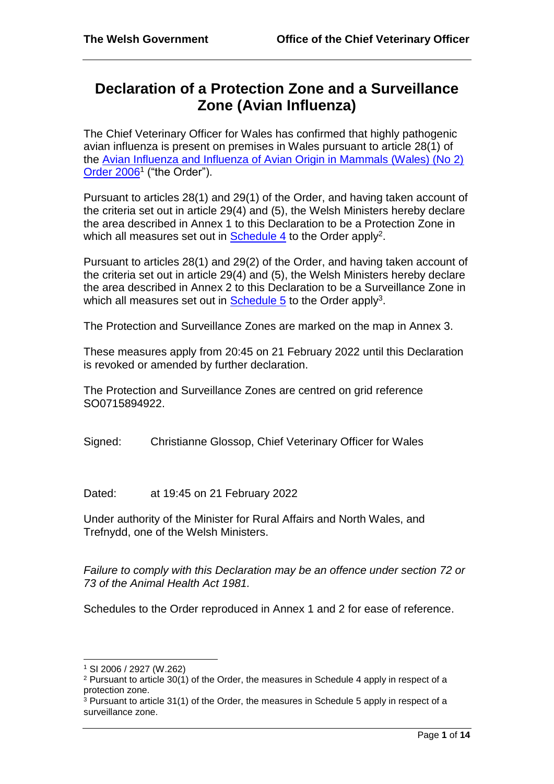# **Declaration of a Protection Zone and a Surveillance Zone (Avian Influenza)**

The Chief Veterinary Officer for Wales has confirmed that highly pathogenic avian influenza is present on premises in Wales pursuant to article 28(1) of the [Avian Influenza and Influenza of Avian Origin in Mammals \(Wales\) \(No 2\)](http://www.legislation.gov.uk/wsi/2006/2927/contents/made)  [Order 2006](http://www.legislation.gov.uk/wsi/2006/2927/contents/made)<sup>1</sup> ("the Order").

Pursuant to articles 28(1) and 29(1) of the Order, and having taken account of the criteria set out in article 29(4) and (5), the Welsh Ministers hereby declare the area described in Annex 1 to this Declaration to be a Protection Zone in which all measures set out in **Schedule 4** to the Order apply<sup>2</sup>.

Pursuant to articles 28(1) and 29(2) of the Order, and having taken account of the criteria set out in article 29(4) and (5), the Welsh Ministers hereby declare the area described in Annex 2 to this Declaration to be a Surveillance Zone in which all measures set out in **Schedule 5** to the Order apply<sup>3</sup>.

The Protection and Surveillance Zones are marked on the map in Annex 3.

These measures apply from 20:45 on 21 February 2022 until this Declaration is revoked or amended by further declaration.

The Protection and Surveillance Zones are centred on grid reference SO0715894922.

Signed: Christianne Glossop, Chief Veterinary Officer for Wales

Dated: at 19:45 on 21 February 2022

Under authority of the Minister for Rural Affairs and North Wales, and Trefnydd, one of the Welsh Ministers.

*Failure to comply with this Declaration may be an offence under section 72 or 73 of the Animal Health Act 1981.* 

Schedules to the Order reproduced in Annex 1 and 2 for ease of reference.

l

<sup>1</sup> SI 2006 / 2927 (W.262)

<sup>2</sup> Pursuant to article 30(1) of the Order, the measures in Schedule 4 apply in respect of a protection zone.

 $3$  Pursuant to article 31(1) of the Order, the measures in Schedule 5 apply in respect of a surveillance zone.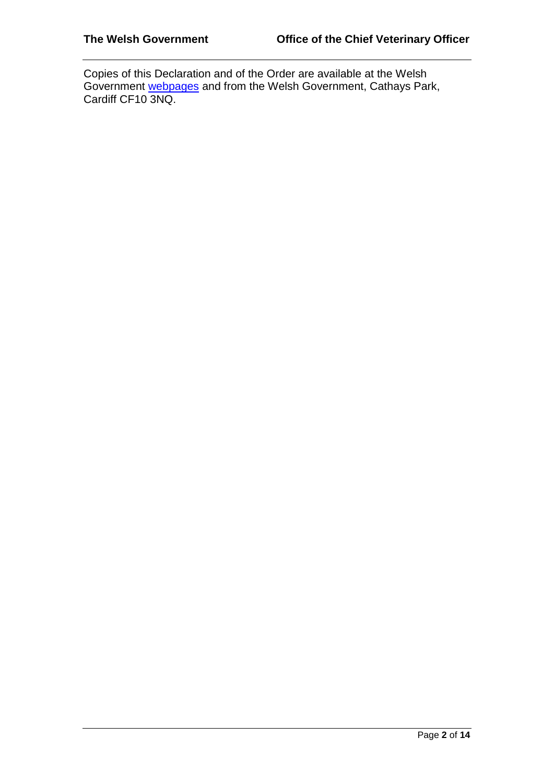Copies of this Declaration and of the Order are available at the Welsh Government [webpages](http://gov.wales/topics/environmentcountryside/ahw/disease/avianflu/?lang=enand) and from the Welsh Government, Cathays Park, Cardiff CF10 3NQ.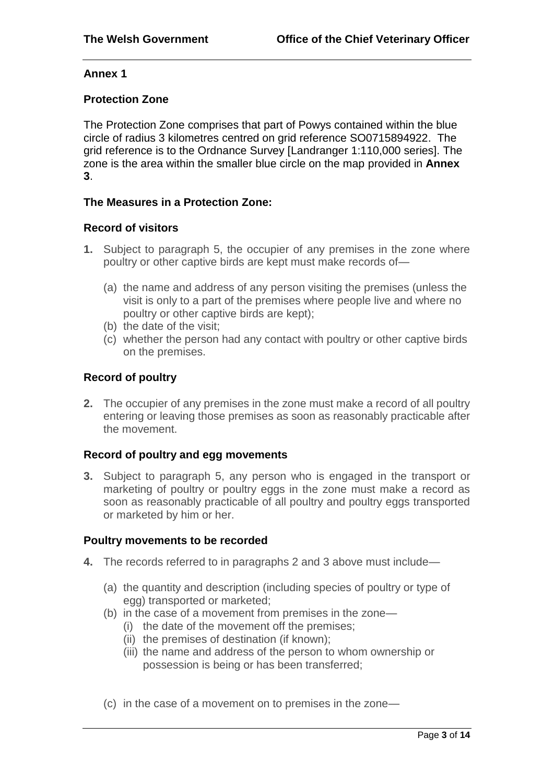# **Annex 1**

# **Protection Zone**

The Protection Zone comprises that part of Powys contained within the blue circle of radius 3 kilometres centred on grid reference SO0715894922. The grid reference is to the Ordnance Survey [Landranger 1:110,000 series]. The zone is the area within the smaller blue circle on the map provided in **Annex 3**.

# **The Measures in a Protection Zone:**

#### **Record of visitors**

- **1.** Subject to paragraph 5, the occupier of any premises in the zone where poultry or other captive birds are kept must make records of—
	- (a) the name and address of any person visiting the premises (unless the visit is only to a part of the premises where people live and where no poultry or other captive birds are kept);
	- (b) the date of the visit;
	- (c) whether the person had any contact with poultry or other captive birds on the premises.

# **Record of poultry**

**2.** The occupier of any premises in the zone must make a record of all poultry entering or leaving those premises as soon as reasonably practicable after the movement.

# **Record of poultry and egg movements**

**3.** Subject to paragraph 5, any person who is engaged in the transport or marketing of poultry or poultry eggs in the zone must make a record as soon as reasonably practicable of all poultry and poultry eggs transported or marketed by him or her.

#### **Poultry movements to be recorded**

- **4.** The records referred to in paragraphs 2 and 3 above must include—
	- (a) the quantity and description (including species of poultry or type of egg) transported or marketed;
	- (b) in the case of a movement from premises in the zone—
		- (i) the date of the movement off the premises;
		- (ii) the premises of destination (if known);
		- (iii) the name and address of the person to whom ownership or possession is being or has been transferred;
	- (c) in the case of a movement on to premises in the zone—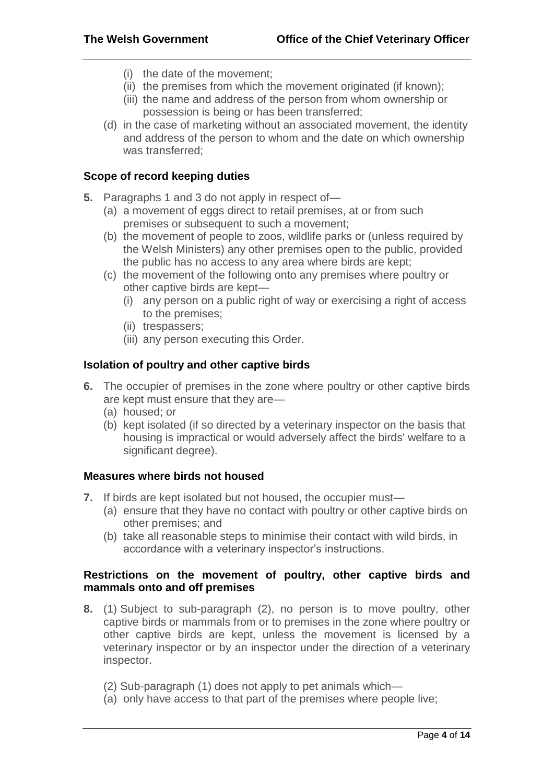- (i) the date of the movement;
- (ii) the premises from which the movement originated (if known);
- (iii) the name and address of the person from whom ownership or possession is being or has been transferred;
- (d) in the case of marketing without an associated movement, the identity and address of the person to whom and the date on which ownership was transferred;

## **Scope of record keeping duties**

- **5.** Paragraphs 1 and 3 do not apply in respect of—
	- (a) a movement of eggs direct to retail premises, at or from such premises or subsequent to such a movement;
	- (b) the movement of people to zoos, wildlife parks or (unless required by the Welsh Ministers) any other premises open to the public, provided the public has no access to any area where birds are kept;
	- (c) the movement of the following onto any premises where poultry or other captive birds are kept—
		- (i) any person on a public right of way or exercising a right of access to the premises;
		- (ii) trespassers;
		- (iii) any person executing this Order.

#### **Isolation of poultry and other captive birds**

- **6.** The occupier of premises in the zone where poultry or other captive birds are kept must ensure that they are—
	- (a) housed; or
	- (b) kept isolated (if so directed by a veterinary inspector on the basis that housing is impractical or would adversely affect the birds' welfare to a significant degree).

#### **Measures where birds not housed**

- **7.** If birds are kept isolated but not housed, the occupier must—
	- (a) ensure that they have no contact with poultry or other captive birds on other premises; and
	- (b) take all reasonable steps to minimise their contact with wild birds, in accordance with a veterinary inspector's instructions.

#### **Restrictions on the movement of poultry, other captive birds and mammals onto and off premises**

- **8.** (1) Subject to sub-paragraph (2), no person is to move poultry, other captive birds or mammals from or to premises in the zone where poultry or other captive birds are kept, unless the movement is licensed by a veterinary inspector or by an inspector under the direction of a veterinary inspector.
	- (2) Sub-paragraph (1) does not apply to pet animals which—
	- (a) only have access to that part of the premises where people live;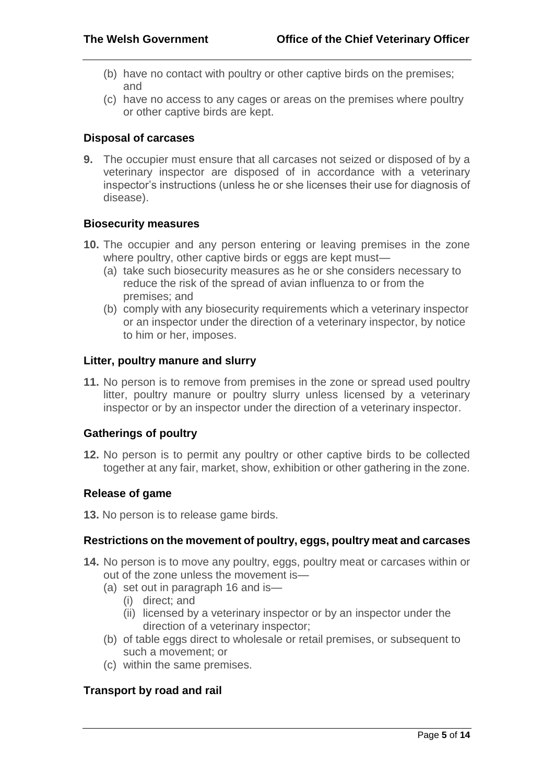- (b) have no contact with poultry or other captive birds on the premises; and
- (c) have no access to any cages or areas on the premises where poultry or other captive birds are kept.

# **Disposal of carcases**

**9.** The occupier must ensure that all carcases not seized or disposed of by a veterinary inspector are disposed of in accordance with a veterinary inspector's instructions (unless he or she licenses their use for diagnosis of disease).

# **Biosecurity measures**

- **10.** The occupier and any person entering or leaving premises in the zone where poultry, other captive birds or eggs are kept must—
	- (a) take such biosecurity measures as he or she considers necessary to reduce the risk of the spread of avian influenza to or from the premises; and
	- (b) comply with any biosecurity requirements which a veterinary inspector or an inspector under the direction of a veterinary inspector, by notice to him or her, imposes.

# **Litter, poultry manure and slurry**

**11.** No person is to remove from premises in the zone or spread used poultry litter, poultry manure or poultry slurry unless licensed by a veterinary inspector or by an inspector under the direction of a veterinary inspector.

# **Gatherings of poultry**

**12.** No person is to permit any poultry or other captive birds to be collected together at any fair, market, show, exhibition or other gathering in the zone.

# **Release of game**

**13.** No person is to release game birds.

# **Restrictions on the movement of poultry, eggs, poultry meat and carcases**

- **14.** No person is to move any poultry, eggs, poultry meat or carcases within or out of the zone unless the movement is—
	- (a) set out in paragraph 16 and is—
		- (i) direct; and
		- (ii) licensed by a veterinary inspector or by an inspector under the direction of a veterinary inspector;
	- (b) of table eggs direct to wholesale or retail premises, or subsequent to such a movement; or
	- (c) within the same premises.

# **Transport by road and rail**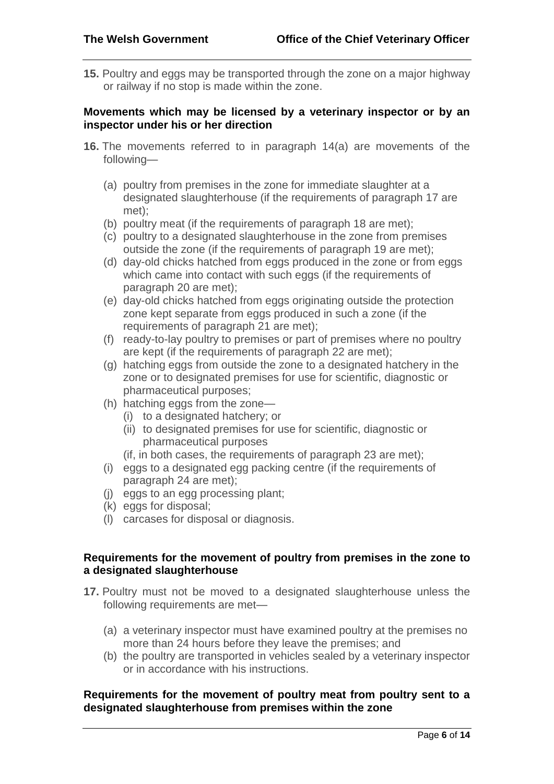**15.** Poultry and eggs may be transported through the zone on a major highway or railway if no stop is made within the zone.

# **Movements which may be licensed by a veterinary inspector or by an inspector under his or her direction**

- **16.** The movements referred to in paragraph 14(a) are movements of the following—
	- (a) poultry from premises in the zone for immediate slaughter at a designated slaughterhouse (if the requirements of paragraph 17 are met);
	- (b) poultry meat (if the requirements of paragraph 18 are met);
	- (c) poultry to a designated slaughterhouse in the zone from premises outside the zone (if the requirements of paragraph 19 are met);
	- (d) day-old chicks hatched from eggs produced in the zone or from eggs which came into contact with such eggs (if the requirements of paragraph 20 are met);
	- (e) day-old chicks hatched from eggs originating outside the protection zone kept separate from eggs produced in such a zone (if the requirements of paragraph 21 are met);
	- (f) ready-to-lay poultry to premises or part of premises where no poultry are kept (if the requirements of paragraph 22 are met);
	- (g) hatching eggs from outside the zone to a designated hatchery in the zone or to designated premises for use for scientific, diagnostic or pharmaceutical purposes;
	- (h) hatching eggs from the zone—
		- (i) to a designated hatchery; or
		- (ii) to designated premises for use for scientific, diagnostic or pharmaceutical purposes
		- (if, in both cases, the requirements of paragraph 23 are met);
	- (i) eggs to a designated egg packing centre (if the requirements of paragraph 24 are met);
	- (j) eggs to an egg processing plant;
	- (k) eggs for disposal;
	- (l) carcases for disposal or diagnosis.

# **Requirements for the movement of poultry from premises in the zone to a designated slaughterhouse**

- **17.** Poultry must not be moved to a designated slaughterhouse unless the following requirements are met—
	- (a) a veterinary inspector must have examined poultry at the premises no more than 24 hours before they leave the premises; and
	- (b) the poultry are transported in vehicles sealed by a veterinary inspector or in accordance with his instructions.

#### **Requirements for the movement of poultry meat from poultry sent to a designated slaughterhouse from premises within the zone**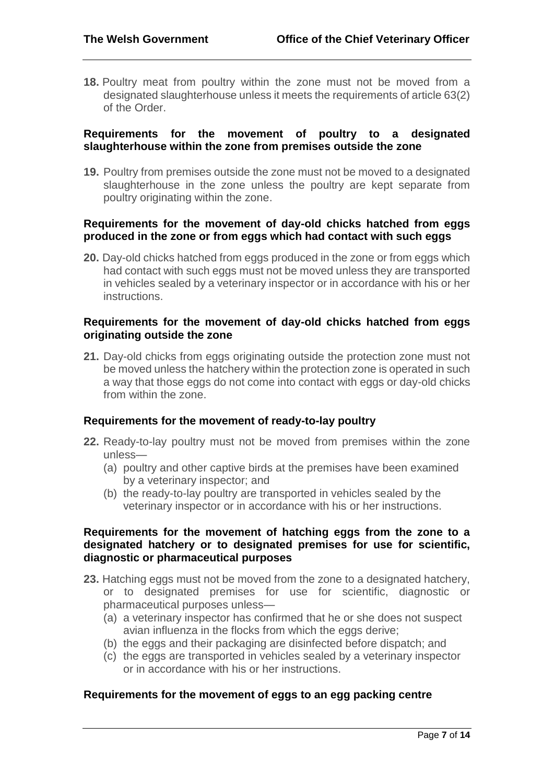**18.** Poultry meat from poultry within the zone must not be moved from a designated slaughterhouse unless it meets the requirements of article 63(2) of the Order.

#### **Requirements for the movement of poultry to a designated slaughterhouse within the zone from premises outside the zone**

**19.** Poultry from premises outside the zone must not be moved to a designated slaughterhouse in the zone unless the poultry are kept separate from poultry originating within the zone.

## **Requirements for the movement of day-old chicks hatched from eggs produced in the zone or from eggs which had contact with such eggs**

**20.** Day-old chicks hatched from eggs produced in the zone or from eggs which had contact with such eggs must not be moved unless they are transported in vehicles sealed by a veterinary inspector or in accordance with his or her instructions.

## **Requirements for the movement of day-old chicks hatched from eggs originating outside the zone**

**21.** Day-old chicks from eggs originating outside the protection zone must not be moved unless the hatchery within the protection zone is operated in such a way that those eggs do not come into contact with eggs or day-old chicks from within the zone.

# **Requirements for the movement of ready-to-lay poultry**

- **22.** Ready-to-lay poultry must not be moved from premises within the zone unless—
	- (a) poultry and other captive birds at the premises have been examined by a veterinary inspector; and
	- (b) the ready-to-lay poultry are transported in vehicles sealed by the veterinary inspector or in accordance with his or her instructions.

#### **Requirements for the movement of hatching eggs from the zone to a designated hatchery or to designated premises for use for scientific, diagnostic or pharmaceutical purposes**

- **23.** Hatching eggs must not be moved from the zone to a designated hatchery, or to designated premises for use for scientific, diagnostic or pharmaceutical purposes unless—
	- (a) a veterinary inspector has confirmed that he or she does not suspect avian influenza in the flocks from which the eggs derive;
	- (b) the eggs and their packaging are disinfected before dispatch; and
	- (c) the eggs are transported in vehicles sealed by a veterinary inspector or in accordance with his or her instructions.

# **Requirements for the movement of eggs to an egg packing centre**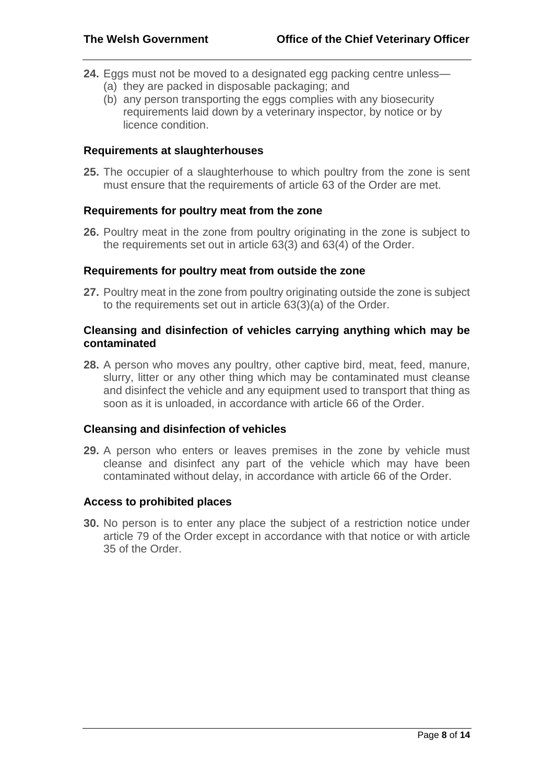- **24.** Eggs must not be moved to a designated egg packing centre unless—
	- (a) they are packed in disposable packaging; and
	- (b) any person transporting the eggs complies with any biosecurity requirements laid down by a veterinary inspector, by notice or by licence condition.

## **Requirements at slaughterhouses**

**25.** The occupier of a slaughterhouse to which poultry from the zone is sent must ensure that the requirements of article 63 of the Order are met.

# **Requirements for poultry meat from the zone**

**26.** Poultry meat in the zone from poultry originating in the zone is subject to the requirements set out in article 63(3) and 63(4) of the Order.

#### **Requirements for poultry meat from outside the zone**

**27.** Poultry meat in the zone from poultry originating outside the zone is subject to the requirements set out in article 63(3)(a) of the Order.

# **Cleansing and disinfection of vehicles carrying anything which may be contaminated**

**28.** A person who moves any poultry, other captive bird, meat, feed, manure, slurry, litter or any other thing which may be contaminated must cleanse and disinfect the vehicle and any equipment used to transport that thing as soon as it is unloaded, in accordance with article 66 of the Order.

#### **Cleansing and disinfection of vehicles**

**29.** A person who enters or leaves premises in the zone by vehicle must cleanse and disinfect any part of the vehicle which may have been contaminated without delay, in accordance with article 66 of the Order.

#### **Access to prohibited places**

**30.** No person is to enter any place the subject of a restriction notice under article 79 of the Order except in accordance with that notice or with article 35 of the Order.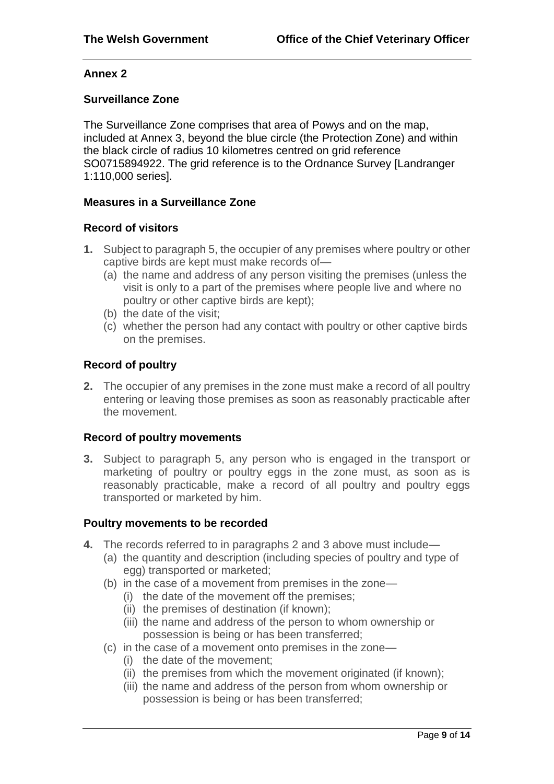# **Annex 2**

# **Surveillance Zone**

The Surveillance Zone comprises that area of Powys and on the map, included at Annex 3, beyond the blue circle (the Protection Zone) and within the black circle of radius 10 kilometres centred on grid reference SO0715894922. The grid reference is to the Ordnance Survey [Landranger 1:110,000 series].

#### **Measures in a Surveillance Zone**

#### **Record of visitors**

- **1.** Subject to paragraph 5, the occupier of any premises where poultry or other captive birds are kept must make records of—
	- (a) the name and address of any person visiting the premises (unless the visit is only to a part of the premises where people live and where no poultry or other captive birds are kept);
	- (b) the date of the visit;
	- (c) whether the person had any contact with poultry or other captive birds on the premises.

# **Record of poultry**

**2.** The occupier of any premises in the zone must make a record of all poultry entering or leaving those premises as soon as reasonably practicable after the movement.

# **Record of poultry movements**

**3.** Subject to paragraph 5, any person who is engaged in the transport or marketing of poultry or poultry eggs in the zone must, as soon as is reasonably practicable, make a record of all poultry and poultry eggs transported or marketed by him.

#### **Poultry movements to be recorded**

- **4.** The records referred to in paragraphs 2 and 3 above must include—
	- (a) the quantity and description (including species of poultry and type of egg) transported or marketed;
	- (b) in the case of a movement from premises in the zone—
		- (i) the date of the movement off the premises;
		- (ii) the premises of destination (if known);
		- (iii) the name and address of the person to whom ownership or possession is being or has been transferred;
	- (c) in the case of a movement onto premises in the zone—
		- (i) the date of the movement;
		- (ii) the premises from which the movement originated (if known);
		- (iii) the name and address of the person from whom ownership or possession is being or has been transferred;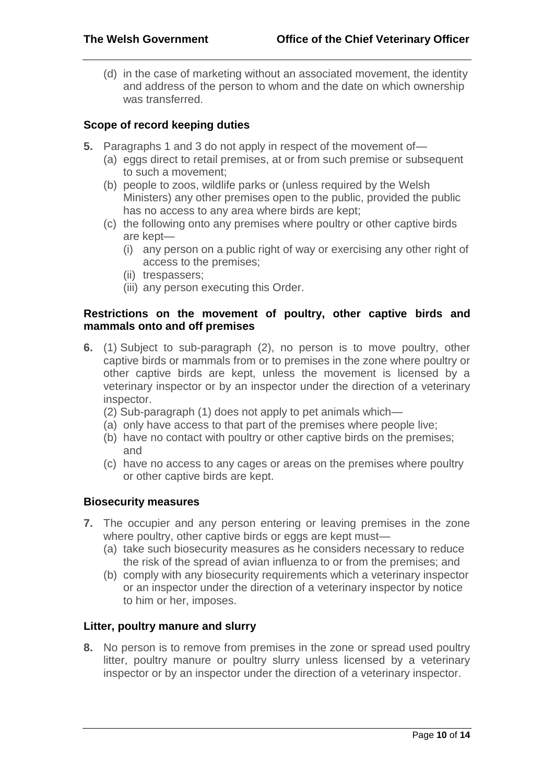(d) in the case of marketing without an associated movement, the identity and address of the person to whom and the date on which ownership was transferred.

# **Scope of record keeping duties**

- **5.** Paragraphs 1 and 3 do not apply in respect of the movement of—
	- (a) eggs direct to retail premises, at or from such premise or subsequent to such a movement;
	- (b) people to zoos, wildlife parks or (unless required by the Welsh Ministers) any other premises open to the public, provided the public has no access to any area where birds are kept;
	- (c) the following onto any premises where poultry or other captive birds are kept—
		- (i) any person on a public right of way or exercising any other right of access to the premises;
		- (ii) trespassers;
		- (iii) any person executing this Order.

# **Restrictions on the movement of poultry, other captive birds and mammals onto and off premises**

- **6.** (1) Subject to sub-paragraph (2), no person is to move poultry, other captive birds or mammals from or to premises in the zone where poultry or other captive birds are kept, unless the movement is licensed by a veterinary inspector or by an inspector under the direction of a veterinary inspector.
	- (2) Sub-paragraph (1) does not apply to pet animals which—
	- (a) only have access to that part of the premises where people live;
	- (b) have no contact with poultry or other captive birds on the premises; and
	- (c) have no access to any cages or areas on the premises where poultry or other captive birds are kept.

# **Biosecurity measures**

- **7.** The occupier and any person entering or leaving premises in the zone where poultry, other captive birds or eggs are kept must—
	- (a) take such biosecurity measures as he considers necessary to reduce the risk of the spread of avian influenza to or from the premises; and
	- (b) comply with any biosecurity requirements which a veterinary inspector or an inspector under the direction of a veterinary inspector by notice to him or her, imposes.

# **Litter, poultry manure and slurry**

**8.** No person is to remove from premises in the zone or spread used poultry litter, poultry manure or poultry slurry unless licensed by a veterinary inspector or by an inspector under the direction of a veterinary inspector.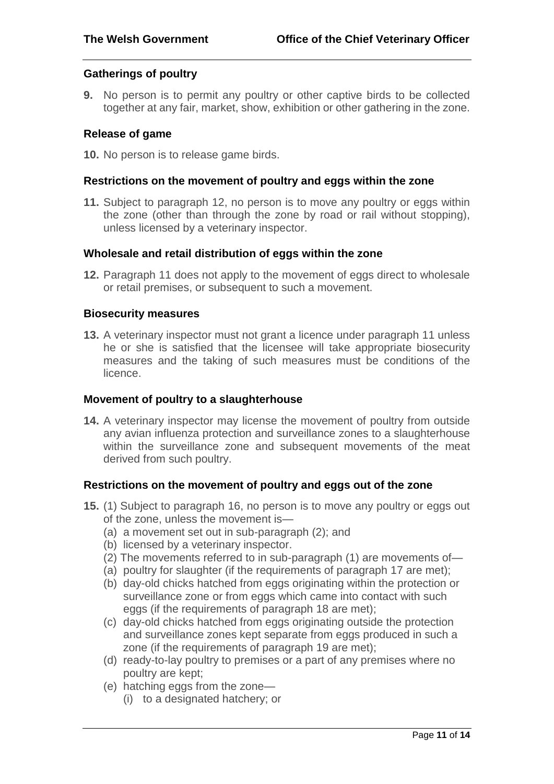#### **Gatherings of poultry**

**9.** No person is to permit any poultry or other captive birds to be collected together at any fair, market, show, exhibition or other gathering in the zone.

#### **Release of game**

**10.** No person is to release game birds.

#### **Restrictions on the movement of poultry and eggs within the zone**

**11.** Subject to paragraph 12, no person is to move any poultry or eggs within the zone (other than through the zone by road or rail without stopping), unless licensed by a veterinary inspector.

#### **Wholesale and retail distribution of eggs within the zone**

**12.** Paragraph 11 does not apply to the movement of eggs direct to wholesale or retail premises, or subsequent to such a movement.

#### **Biosecurity measures**

**13.** A veterinary inspector must not grant a licence under paragraph 11 unless he or she is satisfied that the licensee will take appropriate biosecurity measures and the taking of such measures must be conditions of the licence.

#### **Movement of poultry to a slaughterhouse**

**14.** A veterinary inspector may license the movement of poultry from outside any avian influenza protection and surveillance zones to a slaughterhouse within the surveillance zone and subsequent movements of the meat derived from such poultry.

#### **Restrictions on the movement of poultry and eggs out of the zone**

- **15.** (1) Subject to paragraph 16, no person is to move any poultry or eggs out of the zone, unless the movement is—
	- (a) a movement set out in sub-paragraph (2); and
	- (b) licensed by a veterinary inspector.
	- (2) The movements referred to in sub-paragraph (1) are movements of—
	- (a) poultry for slaughter (if the requirements of paragraph 17 are met);
	- (b) day-old chicks hatched from eggs originating within the protection or surveillance zone or from eggs which came into contact with such eggs (if the requirements of paragraph 18 are met);
	- (c) day-old chicks hatched from eggs originating outside the protection and surveillance zones kept separate from eggs produced in such a zone (if the requirements of paragraph 19 are met);
	- (d) ready-to-lay poultry to premises or a part of any premises where no poultry are kept;
	- (e) hatching eggs from the zone—
		- (i) to a designated hatchery; or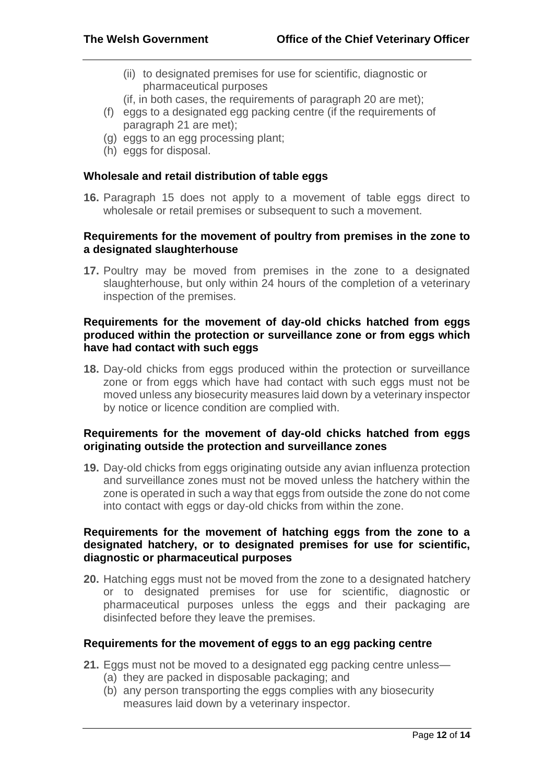- (ii) to designated premises for use for scientific, diagnostic or pharmaceutical purposes
- (if, in both cases, the requirements of paragraph 20 are met);
- (f) eggs to a designated egg packing centre (if the requirements of paragraph 21 are met);
- (g) eggs to an egg processing plant;
- (h) eggs for disposal.

#### **Wholesale and retail distribution of table eggs**

**16.** Paragraph 15 does not apply to a movement of table eggs direct to wholesale or retail premises or subsequent to such a movement.

## **Requirements for the movement of poultry from premises in the zone to a designated slaughterhouse**

**17.** Poultry may be moved from premises in the zone to a designated slaughterhouse, but only within 24 hours of the completion of a veterinary inspection of the premises.

# **Requirements for the movement of day-old chicks hatched from eggs produced within the protection or surveillance zone or from eggs which have had contact with such eggs**

**18.** Day-old chicks from eggs produced within the protection or surveillance zone or from eggs which have had contact with such eggs must not be moved unless any biosecurity measures laid down by a veterinary inspector by notice or licence condition are complied with.

# **Requirements for the movement of day-old chicks hatched from eggs originating outside the protection and surveillance zones**

**19.** Day-old chicks from eggs originating outside any avian influenza protection and surveillance zones must not be moved unless the hatchery within the zone is operated in such a way that eggs from outside the zone do not come into contact with eggs or day-old chicks from within the zone.

#### **Requirements for the movement of hatching eggs from the zone to a designated hatchery, or to designated premises for use for scientific, diagnostic or pharmaceutical purposes**

**20.** Hatching eggs must not be moved from the zone to a designated hatchery or to designated premises for use for scientific, diagnostic or pharmaceutical purposes unless the eggs and their packaging are disinfected before they leave the premises.

# **Requirements for the movement of eggs to an egg packing centre**

- **21.** Eggs must not be moved to a designated egg packing centre unless—
	- (a) they are packed in disposable packaging; and
	- (b) any person transporting the eggs complies with any biosecurity measures laid down by a veterinary inspector.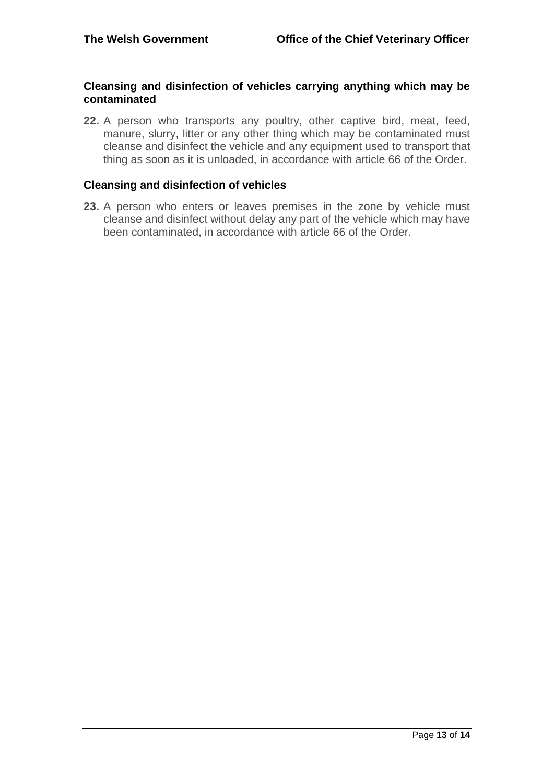#### **Cleansing and disinfection of vehicles carrying anything which may be contaminated**

**22.** A person who transports any poultry, other captive bird, meat, feed, manure, slurry, litter or any other thing which may be contaminated must cleanse and disinfect the vehicle and any equipment used to transport that thing as soon as it is unloaded, in accordance with article 66 of the Order.

# **Cleansing and disinfection of vehicles**

**23.** A person who enters or leaves premises in the zone by vehicle must cleanse and disinfect without delay any part of the vehicle which may have been contaminated, in accordance with article 66 of the Order.